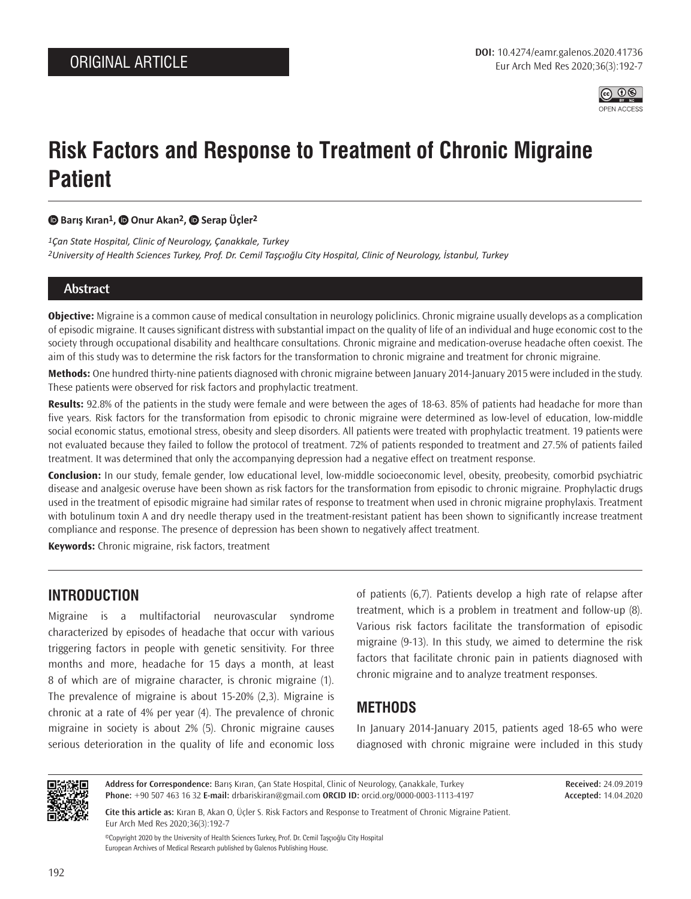

# **Risk Factors and Response to Treatment of Chronic Migraine Patient**

 **Barış Kıran1,Onur Akan2, Serap Üçler2**

*1Çan State Hospital, Clinic of Neurology, Çanakkale, Turkey 2University of Health Sciences Turkey, Prof. Dr. Cemil Taşçıoğlu City Hospital, Clinic of Neurology, İstanbul, Turkey*

#### **Abstract**

**Objective:** Migraine is a common cause of medical consultation in neurology policlinics. Chronic migraine usually develops as a complication of episodic migraine. It causes significant distress with substantial impact on the quality of life of an individual and huge economic cost to the society through occupational disability and healthcare consultations. Chronic migraine and medication-overuse headache often coexist. The aim of this study was to determine the risk factors for the transformation to chronic migraine and treatment for chronic migraine.

**Methods:** One hundred thirty-nine patients diagnosed with chronic migraine between January 2014-January 2015 were included in the study. These patients were observed for risk factors and prophylactic treatment.

**Results:** 92.8% of the patients in the study were female and were between the ages of 18-63. 85% of patients had headache for more than five years. Risk factors for the transformation from episodic to chronic migraine were determined as low-level of education, low-middle social economic status, emotional stress, obesity and sleep disorders. All patients were treated with prophylactic treatment. 19 patients were not evaluated because they failed to follow the protocol of treatment. 72% of patients responded to treatment and 27.5% of patients failed treatment. It was determined that only the accompanying depression had a negative effect on treatment response.

**Conclusion:** In our study, female gender, low educational level, low-middle socioeconomic level, obesity, preobesity, comorbid psychiatric disease and analgesic overuse have been shown as risk factors for the transformation from episodic to chronic migraine. Prophylactic drugs used in the treatment of episodic migraine had similar rates of response to treatment when used in chronic migraine prophylaxis. Treatment with botulinum toxin A and dry needle therapy used in the treatment-resistant patient has been shown to significantly increase treatment compliance and response. The presence of depression has been shown to negatively affect treatment.

**Keywords:** Chronic migraine, risk factors, treatment

## **INTRODUCTION**

Migraine is a multifactorial neurovascular syndrome characterized by episodes of headache that occur with various triggering factors in people with genetic sensitivity. For three months and more, headache for 15 days a month, at least 8 of which are of migraine character, is chronic migraine (1). The prevalence of migraine is about 15-20% (2,3). Migraine is chronic at a rate of 4% per year (4). The prevalence of chronic migraine in society is about 2% (5). Chronic migraine causes serious deterioration in the quality of life and economic loss of patients (6,7). Patients develop a high rate of relapse after treatment, which is a problem in treatment and follow-up (8). Various risk factors facilitate the transformation of episodic migraine (9-13). In this study, we aimed to determine the risk factors that facilitate chronic pain in patients diagnosed with chronic migraine and to analyze treatment responses.

## **METHODS**

In January 2014-January 2015, patients aged 18-65 who were diagnosed with chronic migraine were included in this study



**Address for Correspondence:** Barış Kıran, Çan State Hospital, Clinic of Neurology, Çanakkale, Turkey **Phone:** +90 507 463 16 32 **E-mail:** drbariskiran@gmail.com **ORCID ID:** orcid.org/0000-0003-1113-4197

**Received:** 24.09.2019 **Accepted:** 14.04.2020

**Cite this article as:** Kıran B, Akan O, Üçler S. Risk Factors and Response to Treatment of Chronic Migraine Patient. Eur Arch Med Res 2020;36(3):192-7

©Copyright 2020 by the University of Health Sciences Turkey, Prof. Dr. Cemil Taşçıoğlu City Hospital European Archives of Medical Research published by Galenos Publishing House.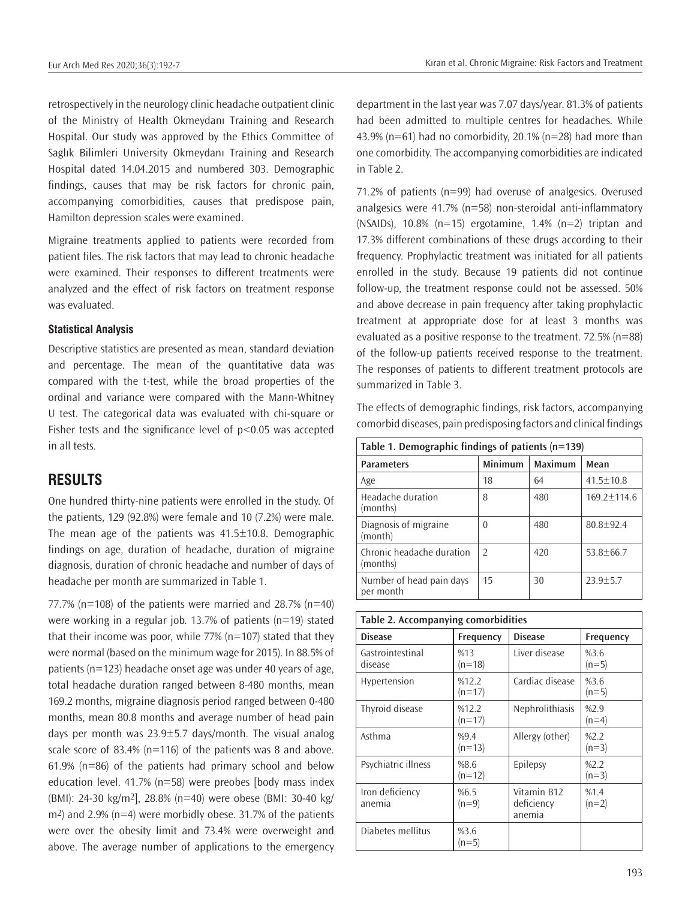retrospectively in the neurology clinic headache outpatient clinic of the Ministry of Health Okmeydanı Training and Research Hospital. Our study was approved by the Ethics Committee of Saglık Bilimleri University Okmeydanı Training and Research Hospital dated 14.04.2015 and numbered 303. Demographic findings, causes that may be risk factors for chronic pain, accompanying comorbidities, causes that predispose pain, Hamilton depression scales were examined.

Migraine treatments applied to patients were recorded from patient files. The risk factors that may lead to chronic headache were examined. Their responses to different treatments were analyzed and the effect of risk factors on treatment response was evaluated.

#### **Statistical Analysis**

Descriptive statistics are presented as mean, standard deviation and percentage. The mean of the quantitative data was compared with the t-test, while the broad properties of the ordinal and variance were compared with the Mann-Whitney U test. The categorical data was evaluated with chi-square or Fisher tests and the significance level of  $p$ <0.05 was accepted in all tests.

#### **RESULTS**

One hundred thirty-nine patients were enrolled in the study. Of the patients, 129 (92.8%) were female and 10 (7.2%) were male. The mean age of the patients was 41.5±10.8. Demographic findings on age, duration of headache, duration of migraine diagnosis, duration of chronic headache and number of days of headache per month are summarized in Table 1.

77.7% ( $n=108$ ) of the patients were married and 28.7% ( $n=40$ ) were working in a regular job. 13.7% of patients (n=19) stated that their income was poor, while  $77\%$  (n=107) stated that they were normal (based on the minimum wage for 2015). In 88.5% of patients (n=123) headache onset age was under 40 years of age, total headache duration ranged between 8-480 months, mean 169.2 months, migraine diagnosis period ranged between 0-480 months, mean 80.8 months and average number of head pain days per month was 23.9±5.7 days/month. The visual analog scale score of 83.4% (n=116) of the patients was 8 and above. 61.9% (n=86) of the patients had primary school and below education level. 41.7% (n=58) were preobes [body mass index (BMI): 24-30 kg/m2], 28.8% (n=40) were obese (BMI: 30-40 kg/ m2) and 2.9% (n=4) were morbidly obese. 31.7% of the patients were over the obesity limit and 73.4% were overweight and above. The average number of applications to the emergency

department in the last year was 7.07 days/year. 81.3% of patients had been admitted to multiple centres for headaches. While 43.9% ( $n=61$ ) had no comorbidity, 20.1% ( $n=28$ ) had more than one comorbidity. The accompanying comorbidities are indicated in Table 2.

71.2% of patients (n=99) had overuse of analgesics. Overused analgesics were 41.7% (n=58) non-steroidal anti-inflammatory (NSAIDs), 10.8% (n=15) ergotamine, 1.4% (n=2) triptan and 17.3% different combinations of these drugs according to their frequency. Prophylactic treatment was initiated for all patients enrolled in the study. Because 19 patients did not continue follow-up, the treatment response could not be assessed. 50% and above decrease in pain frequency after taking prophylactic treatment at appropriate dose for at least 3 months was evaluated as a positive response to the treatment. 72.5% (n=88) of the follow-up patients received response to the treatment. The responses of patients to different treatment protocols are summarized in Table 3.

The effects of demographic findings, risk factors, accompanying comorbid diseases, pain predisposing factors and clinical findings

| Table 1. Demographic findings of patients (n=139) |               |         |                 |  |  |  |
|---------------------------------------------------|---------------|---------|-----------------|--|--|--|
| <b>Parameters</b>                                 | Minimum       | Maximum | Mean            |  |  |  |
| Age                                               | 18            | 64      | $41.5 + 10.8$   |  |  |  |
| Headache duration<br>(months)                     | 8             | 480     | 169.2±114.6     |  |  |  |
| Diagnosis of migraine<br>(month)                  | O             | 480     | $80.8 + 92.4$   |  |  |  |
| Chronic headache duration<br>(months)             | $\mathcal{P}$ | 420     | $53.8 \pm 66.7$ |  |  |  |
| Number of head pain days<br>per month             | 15            | 30      | $23.9 + 5.7$    |  |  |  |

| Table 2. Accompanying comorbidities |                   |                                     |                  |  |  |
|-------------------------------------|-------------------|-------------------------------------|------------------|--|--|
| <b>Disease</b>                      | <b>Frequency</b>  | <b>Disease</b>                      | <b>Frequency</b> |  |  |
| Gastrointestinal<br>disease         | %13<br>$(n=18)$   | Liver disease                       | %3.6<br>$(n=5)$  |  |  |
| Hypertension                        | %12.2<br>$(n=17)$ | Cardiac disease                     | %3.6<br>$(n=5)$  |  |  |
| Thyroid disease                     | %12.2<br>$(n=17)$ | Nephrolithiasis                     | %2.9<br>$(n=4)$  |  |  |
| Asthma                              | %9.4<br>$(n=13)$  | Allergy (other)                     | %2.2<br>$(n=3)$  |  |  |
| Psychiatric illness                 | %8.6<br>$(n=12)$  | Epilepsy                            | %2.2<br>$(n=3)$  |  |  |
| Iron deficiency<br>anemia           | %6.5<br>$(n=9)$   | Vitamin B12<br>deficiency<br>anemia | %1.4<br>$(n=2)$  |  |  |
| Diabetes mellitus                   | %3.6<br>$(n=5)$   |                                     |                  |  |  |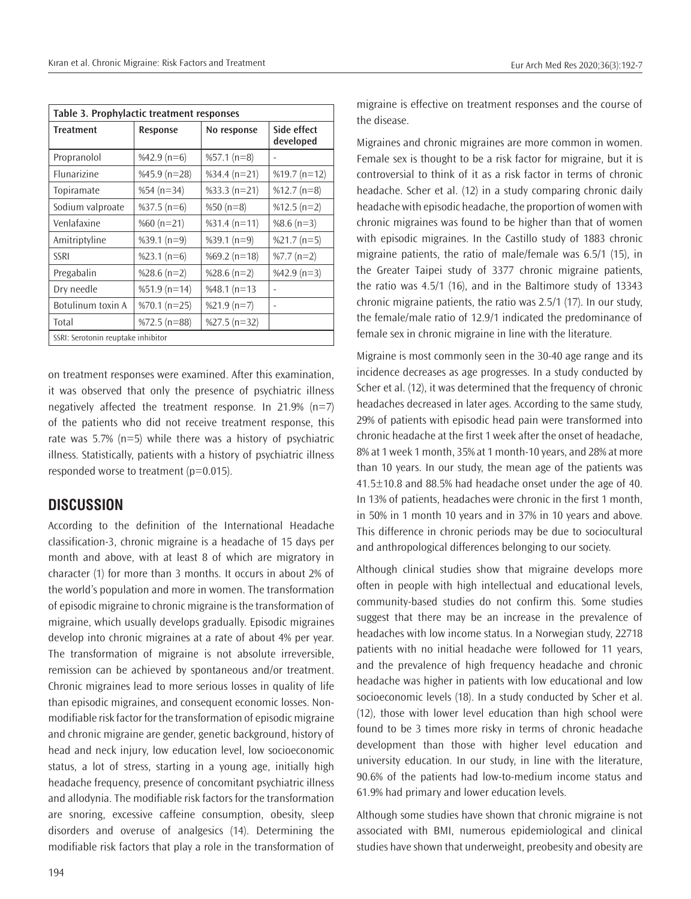| Table 3. Prophylactic treatment responses |                  |                |                          |  |  |
|-------------------------------------------|------------------|----------------|--------------------------|--|--|
| <b>Treatment</b>                          | Response         | No response    | Side effect<br>developed |  |  |
| Propranolol                               | %42.9 $(n=6)$    | $%57.1(n=8)$   |                          |  |  |
| <b>Flunarizine</b>                        | %45.9 ( $n=28$ ) | $%34.4(n=21)$  | %19.7 $(n=12)$           |  |  |
| Topiramate                                | %54 ( $n=34$ )   | $%33.3(n=21)$  | $%12.7(n=8)$             |  |  |
| Sodium valproate                          | $%37.5(n=6)$     | %50 $(n=8)$    | $%12.5(n=2)$             |  |  |
| Venlafaxine                               | %60 $(n=21)$     | $%31.4(n=11)$  | %8.6 $(n=3)$             |  |  |
| Amitriptyline                             | $%39.1(n=9)$     | $%39.1(n=9)$   | $%21.7(n=5)$             |  |  |
| <b>SSRI</b>                               | $%23.1(n=6)$     | %69.2 $(n=18)$ | %7.7 ( $n=2$ )           |  |  |
| Pregabalin                                | %28.6 ( $n=2$ )  | %28.6 $(n=2)$  | $%42.9(n=3)$             |  |  |
| Dry needle                                | $%51.9(n=14)$    | %48.1 ( $n=13$ |                          |  |  |
| Botulinum toxin A                         | $%70.1(n=25)$    | $%21.9(n=7)$   |                          |  |  |
| Total                                     | $\%$ 72.5 (n=88) | $%27.5(n=32)$  |                          |  |  |
| SSRI: Serotonin reuptake inhibitor        |                  |                |                          |  |  |

on treatment responses were examined. After this examination, it was observed that only the presence of psychiatric illness negatively affected the treatment response. In 21.9% (n=7) of the patients who did not receive treatment response, this rate was 5.7% (n=5) while there was a history of psychiatric illness. Statistically, patients with a history of psychiatric illness responded worse to treatment ( $p=0.015$ ).

## **DISCUSSION**

According to the definition of the International Headache classification-3, chronic migraine is a headache of 15 days per month and above, with at least 8 of which are migratory in character (1) for more than 3 months. It occurs in about 2% of the world's population and more in women. The transformation of episodic migraine to chronic migraine is the transformation of migraine, which usually develops gradually. Episodic migraines develop into chronic migraines at a rate of about 4% per year. The transformation of migraine is not absolute irreversible, remission can be achieved by spontaneous and/or treatment. Chronic migraines lead to more serious losses in quality of life than episodic migraines, and consequent economic losses. Nonmodifiable risk factor for the transformation of episodic migraine and chronic migraine are gender, genetic background, history of head and neck injury, low education level, low socioeconomic status, a lot of stress, starting in a young age, initially high headache frequency, presence of concomitant psychiatric illness and allodynia. The modifiable risk factors for the transformation are snoring, excessive caffeine consumption, obesity, sleep disorders and overuse of analgesics (14). Determining the modifiable risk factors that play a role in the transformation of migraine is effective on treatment responses and the course of the disease.

Migraines and chronic migraines are more common in women. Female sex is thought to be a risk factor for migraine, but it is controversial to think of it as a risk factor in terms of chronic headache. Scher et al. (12) in a study comparing chronic daily headache with episodic headache, the proportion of women with chronic migraines was found to be higher than that of women with episodic migraines. In the Castillo study of 1883 chronic migraine patients, the ratio of male/female was 6.5/1 (15), in the Greater Taipei study of 3377 chronic migraine patients, the ratio was 4.5/1 (16), and in the Baltimore study of 13343 chronic migraine patients, the ratio was 2.5/1 (17). In our study, the female/male ratio of 12.9/1 indicated the predominance of female sex in chronic migraine in line with the literature.

Migraine is most commonly seen in the 30-40 age range and its incidence decreases as age progresses. In a study conducted by Scher et al. (12), it was determined that the frequency of chronic headaches decreased in later ages. According to the same study, 29% of patients with episodic head pain were transformed into chronic headache at the first 1 week after the onset of headache, 8% at 1 week 1 month, 35% at 1 month-10 years, and 28% at more than 10 years. In our study, the mean age of the patients was 41.5±10.8 and 88.5% had headache onset under the age of 40. In 13% of patients, headaches were chronic in the first 1 month, in 50% in 1 month 10 years and in 37% in 10 years and above. This difference in chronic periods may be due to sociocultural and anthropological differences belonging to our society.

Although clinical studies show that migraine develops more often in people with high intellectual and educational levels, community-based studies do not confirm this. Some studies suggest that there may be an increase in the prevalence of headaches with low income status. In a Norwegian study, 22718 patients with no initial headache were followed for 11 years, and the prevalence of high frequency headache and chronic headache was higher in patients with low educational and low socioeconomic levels (18). In a study conducted by Scher et al. (12), those with lower level education than high school were found to be 3 times more risky in terms of chronic headache development than those with higher level education and university education. In our study, in line with the literature, 90.6% of the patients had low-to-medium income status and 61.9% had primary and lower education levels.

Although some studies have shown that chronic migraine is not associated with BMI, numerous epidemiological and clinical studies have shown that underweight, preobesity and obesity are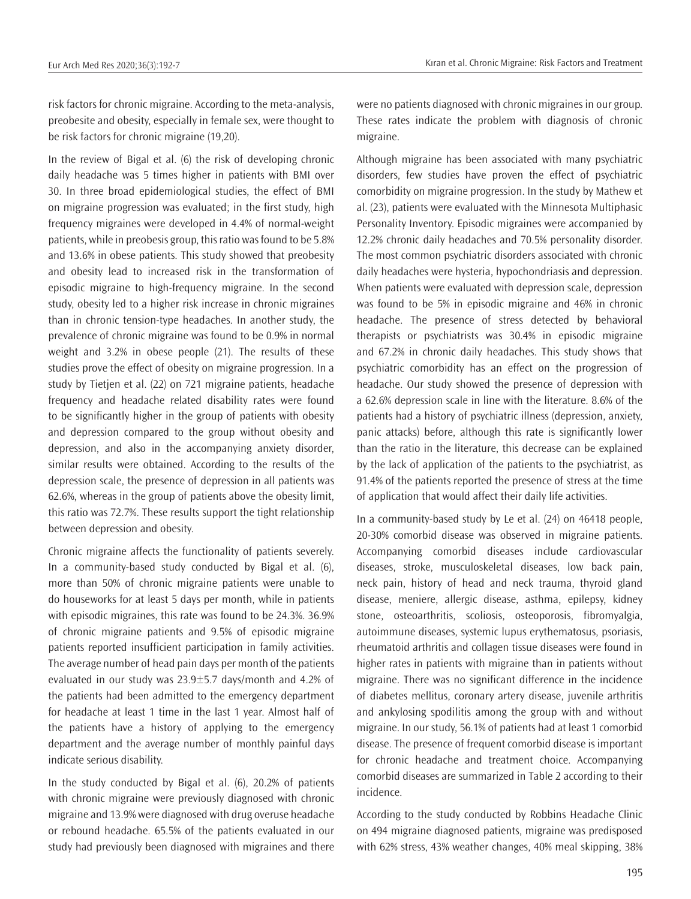risk factors for chronic migraine. According to the meta-analysis, preobesite and obesity, especially in female sex, were thought to be risk factors for chronic migraine (19,20).

In the review of Bigal et al. (6) the risk of developing chronic daily headache was 5 times higher in patients with BMI over 30. In three broad epidemiological studies, the effect of BMI on migraine progression was evaluated; in the first study, high frequency migraines were developed in 4.4% of normal-weight patients, while in preobesis group, this ratio was found to be 5.8% and 13.6% in obese patients. This study showed that preobesity and obesity lead to increased risk in the transformation of episodic migraine to high-frequency migraine. In the second study, obesity led to a higher risk increase in chronic migraines than in chronic tension-type headaches. In another study, the prevalence of chronic migraine was found to be 0.9% in normal weight and 3.2% in obese people (21). The results of these studies prove the effect of obesity on migraine progression. In a study by Tietjen et al. (22) on 721 migraine patients, headache frequency and headache related disability rates were found to be significantly higher in the group of patients with obesity and depression compared to the group without obesity and depression, and also in the accompanying anxiety disorder, similar results were obtained. According to the results of the depression scale, the presence of depression in all patients was 62.6%, whereas in the group of patients above the obesity limit, this ratio was 72.7%. These results support the tight relationship between depression and obesity.

Chronic migraine affects the functionality of patients severely. In a community-based study conducted by Bigal et al. (6), more than 50% of chronic migraine patients were unable to do houseworks for at least 5 days per month, while in patients with episodic migraines, this rate was found to be 24.3%. 36.9% of chronic migraine patients and 9.5% of episodic migraine patients reported insufficient participation in family activities. The average number of head pain days per month of the patients evaluated in our study was 23.9±5.7 days/month and 4.2% of the patients had been admitted to the emergency department for headache at least 1 time in the last 1 year. Almost half of the patients have a history of applying to the emergency department and the average number of monthly painful days indicate serious disability.

In the study conducted by Bigal et al. (6), 20.2% of patients with chronic migraine were previously diagnosed with chronic migraine and 13.9% were diagnosed with drug overuse headache or rebound headache. 65.5% of the patients evaluated in our study had previously been diagnosed with migraines and there were no patients diagnosed with chronic migraines in our group. These rates indicate the problem with diagnosis of chronic migraine.

Although migraine has been associated with many psychiatric disorders, few studies have proven the effect of psychiatric comorbidity on migraine progression. In the study by Mathew et al. (23), patients were evaluated with the Minnesota Multiphasic Personality Inventory. Episodic migraines were accompanied by 12.2% chronic daily headaches and 70.5% personality disorder. The most common psychiatric disorders associated with chronic daily headaches were hysteria, hypochondriasis and depression. When patients were evaluated with depression scale, depression was found to be 5% in episodic migraine and 46% in chronic headache. The presence of stress detected by behavioral therapists or psychiatrists was 30.4% in episodic migraine and 67.2% in chronic daily headaches. This study shows that psychiatric comorbidity has an effect on the progression of headache. Our study showed the presence of depression with a 62.6% depression scale in line with the literature. 8.6% of the patients had a history of psychiatric illness (depression, anxiety, panic attacks) before, although this rate is significantly lower than the ratio in the literature, this decrease can be explained by the lack of application of the patients to the psychiatrist, as 91.4% of the patients reported the presence of stress at the time of application that would affect their daily life activities.

In a community-based study by Le et al. (24) on 46418 people, 20-30% comorbid disease was observed in migraine patients. Accompanying comorbid diseases include cardiovascular diseases, stroke, musculoskeletal diseases, low back pain, neck pain, history of head and neck trauma, thyroid gland disease, meniere, allergic disease, asthma, epilepsy, kidney stone, osteoarthritis, scoliosis, osteoporosis, fibromyalgia, autoimmune diseases, systemic lupus erythematosus, psoriasis, rheumatoid arthritis and collagen tissue diseases were found in higher rates in patients with migraine than in patients without migraine. There was no significant difference in the incidence of diabetes mellitus, coronary artery disease, juvenile arthritis and ankylosing spodilitis among the group with and without migraine. In our study, 56.1% of patients had at least 1 comorbid disease. The presence of frequent comorbid disease is important for chronic headache and treatment choice. Accompanying comorbid diseases are summarized in Table 2 according to their incidence.

According to the study conducted by Robbins Headache Clinic on 494 migraine diagnosed patients, migraine was predisposed with 62% stress, 43% weather changes, 40% meal skipping, 38%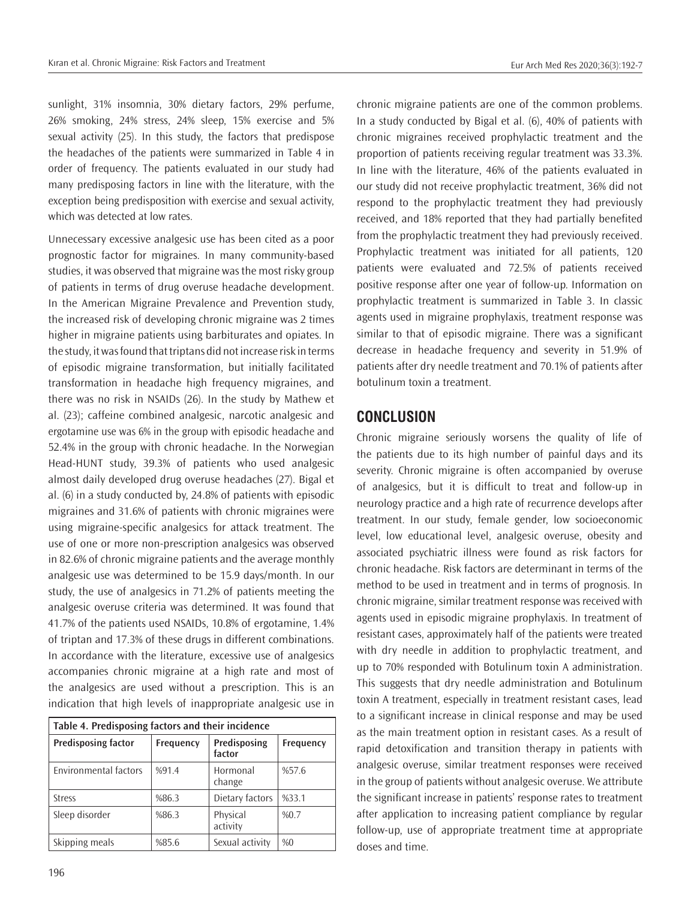sunlight, 31% insomnia, 30% dietary factors, 29% perfume, 26% smoking, 24% stress, 24% sleep, 15% exercise and 5% sexual activity (25). In this study, the factors that predispose the headaches of the patients were summarized in Table 4 in order of frequency. The patients evaluated in our study had many predisposing factors in line with the literature, with the exception being predisposition with exercise and sexual activity, which was detected at low rates.

Unnecessary excessive analgesic use has been cited as a poor prognostic factor for migraines. In many community-based studies, it was observed that migraine was the most risky group of patients in terms of drug overuse headache development. In the American Migraine Prevalence and Prevention study, the increased risk of developing chronic migraine was 2 times higher in migraine patients using barbiturates and opiates. In the study, it was found that triptans did not increase risk in terms of episodic migraine transformation, but initially facilitated transformation in headache high frequency migraines, and there was no risk in NSAIDs (26). In the study by Mathew et al. (23); caffeine combined analgesic, narcotic analgesic and ergotamine use was 6% in the group with episodic headache and 52.4% in the group with chronic headache. In the Norwegian Head-HUNT study, 39.3% of patients who used analgesic almost daily developed drug overuse headaches (27). Bigal et al. (6) in a study conducted by, 24.8% of patients with episodic migraines and 31.6% of patients with chronic migraines were using migraine-specific analgesics for attack treatment. The use of one or more non-prescription analgesics was observed in 82.6% of chronic migraine patients and the average monthly analgesic use was determined to be 15.9 days/month. In our study, the use of analgesics in 71.2% of patients meeting the analgesic overuse criteria was determined. It was found that 41.7% of the patients used NSAIDs, 10.8% of ergotamine, 1.4% of triptan and 17.3% of these drugs in different combinations. In accordance with the literature, excessive use of analgesics accompanies chronic migraine at a high rate and most of the analgesics are used without a prescription. This is an indication that high levels of inappropriate analgesic use in

| Table 4. Predisposing factors and their incidence |           |                        |           |  |  |  |
|---------------------------------------------------|-----------|------------------------|-----------|--|--|--|
| <b>Predisposing factor</b>                        | Frequency | Predisposing<br>factor | Frequency |  |  |  |
| <b>Environmental factors</b>                      | %91.4     | Hormonal<br>change     | %57.6     |  |  |  |
| <b>Stress</b>                                     | %86.3     | Dietary factors        | %33.1     |  |  |  |
| Sleep disorder                                    | %86.3     | Physical<br>activity   | %0.7      |  |  |  |
| Skipping meals                                    | %85.6     | Sexual activity        | %0        |  |  |  |

chronic migraine patients are one of the common problems. In a study conducted by Bigal et al. (6), 40% of patients with chronic migraines received prophylactic treatment and the proportion of patients receiving regular treatment was 33.3%. In line with the literature, 46% of the patients evaluated in our study did not receive prophylactic treatment, 36% did not respond to the prophylactic treatment they had previously received, and 18% reported that they had partially benefited from the prophylactic treatment they had previously received. Prophylactic treatment was initiated for all patients, 120 patients were evaluated and 72.5% of patients received positive response after one year of follow-up. Information on prophylactic treatment is summarized in Table 3. In classic agents used in migraine prophylaxis, treatment response was similar to that of episodic migraine. There was a significant decrease in headache frequency and severity in 51.9% of patients after dry needle treatment and 70.1% of patients after botulinum toxin a treatment.

## **CONCLUSION**

Chronic migraine seriously worsens the quality of life of the patients due to its high number of painful days and its severity. Chronic migraine is often accompanied by overuse of analgesics, but it is difficult to treat and follow-up in neurology practice and a high rate of recurrence develops after treatment. In our study, female gender, low socioeconomic level, low educational level, analgesic overuse, obesity and associated psychiatric illness were found as risk factors for chronic headache. Risk factors are determinant in terms of the method to be used in treatment and in terms of prognosis. In chronic migraine, similar treatment response was received with agents used in episodic migraine prophylaxis. In treatment of resistant cases, approximately half of the patients were treated with dry needle in addition to prophylactic treatment, and up to 70% responded with Botulinum toxin A administration. This suggests that dry needle administration and Botulinum toxin A treatment, especially in treatment resistant cases, lead to a significant increase in clinical response and may be used as the main treatment option in resistant cases. As a result of rapid detoxification and transition therapy in patients with analgesic overuse, similar treatment responses were received in the group of patients without analgesic overuse. We attribute the significant increase in patients' response rates to treatment after application to increasing patient compliance by regular follow-up, use of appropriate treatment time at appropriate doses and time.